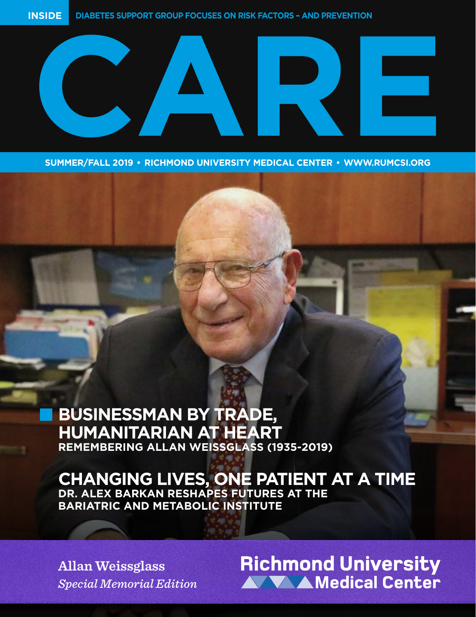

**SUMMER/FALL 2019 • RICHMOND UNIVERSITY MEDICAL CENTER • WWW.RUMCSI.ORG** 

## **BUSINESSMAN BY TRADE, HUMANITARIAN AT HEART REMEMBERING ALLAN WEISSGLASS (1935-2019)**

## **CHANGING LIVES, ONE PATIENT AT A TIME**

**DR. ALEX BARKAN RESHAPES FUTURES AT THE BARIATRIC AND METABOLIC INSTITUTE**

**Allan Weissglass**  *Special Memorial Edition*

# **Richmond University<br>AVV AMedical Center**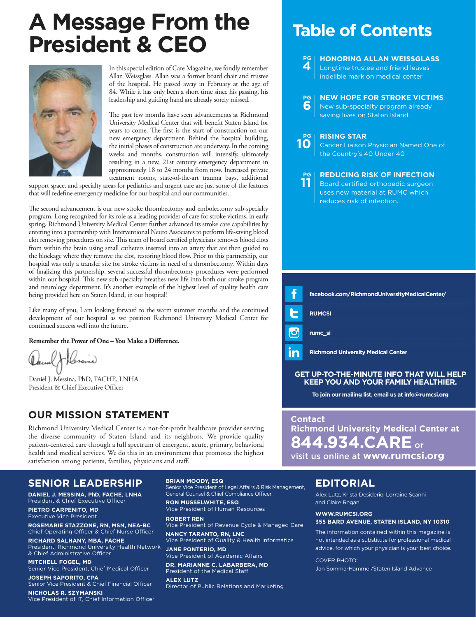## **A Message From the President & CEO Table of Contents**



In this special edition of Care Magazine, we fondly remember Allan Weissglass. Allan was a former board chair and trustee of the hospital. He passed away in February at the age of 84. While it has only been a short time since his passing, his leadership and guiding hand are already sorely missed.

The past few months have seen advancements at Richmond University Medical Center that will benefit Staten Island for years to come. The first is the start of construction on our new emergency department. Behind the hospital building, the initial phases of construction are underway. In the coming weeks and months, construction will intensify, ultimately resulting in a new, 21st century emergency department in approximately 18 to 24 months from now. Increased private treatment rooms, state-of-the-art trauma bays, additional

support space, and specialty areas for pediatrics and urgent care are just some of the features that will redefine emergency medicine for our hospital and our communities.

The second advancement is our new stroke thrombectomy and embolectomy sub-specialty program. Long recognized for its role as a leading provider of care for stroke victims, in early spring, Richmond University Medical Center further advanced its stroke care capabilities by entering into a partnership with Interventional Neuro Associates to perform life-saving blood clot removing procedures on site. This team of board certified physicians removes blood clots from within the brain using small catheters inserted into an artery that are then guided to the blockage where they remove the clot, restoring blood flow. Prior to this partnership, our hospital was only a transfer site for stroke victims in need of a thrombectomy. Within days of finalizing this partnership, several successful thrombectomy procedures were performed within our hospital. This new sub-specialty breathes new life into both our stroke program and neurology department. It's another example of the highest level of quality health care being provided here on Staten Island, in our hospital!

Like many of you, I am looking forward to the warm summer months and the continued development of our hospital as we position Richmond University Medical Center for continued success well into the future.

**Remember the Power of One – You Make a Difference.**

(Alexand

Daniel J. Messina, PhD, FACHE, LNHA President & Chief Executive Officer

### **OUR MISSION STATEMENT**

Richmond University Medical Center is a not-for-profit healthcare provider serving the diverse community of Staten Island and its neighbors. We provide quality patient-centered care through a full spectrum of emergent, acute, primary, behavioral health and medical services. We do this in an environment that promotes the highest satisfaction among patients, families, physicians and staff.

### **SENIOR LEADERSHIP**

**DANIEL J. MESSINA, PhD, FACHE, LNHA** President & Chief Executive Officer

**PIETRO CARPENITO, MD** Executive Vice President

**ROSEMARIE STAZZONE, RN, MSN, NEA-BC** Chief Operating Officer & Chief Nurse Officer

**RICHARD SALHANY, MBA, FACHE** President, Richmond University Health Network & Chief Administrative Officer

**MITCHELL FOGEL, MD** Senior Vice President, Chief Medical Officer

**JOSEPH SAPORITO, CPA** Senior Vice President & Chief Financial Officer

**NICHOLAS R. SZYMANSKI** Vice President of IT, Chief Information Officer **BRIAN MOODY, ESQ**

Senior Vice President of Legal Affairs & Risk Management, General Counsel & Chief Compliance Officer

**RON MUSSELWHITE, ESQ** Vice President of Human Resources

**ROBERT REN** Vice President of Revenue Cycle & Managed Care

**NANCY TARANTO, RN, LNC** Vice President of Quality & Health Informatics

**JANE PONTERIO, MD** Vice President of Academic Affairs

**DR. MARIANNE C. LABARBERA, MD**  President of the Medical Staff

**ALEX LUTZ** Director of Public Relations and Marketing

#### **PG 4 HONORING ALLAN WEISSGLASS**  Longtime trustee and friend leaves indelible mark on medical center

#### **PG NEW HOPE FOR STROKE VICTIMS**

**6** New sub-specialty program already saving lives on Staten Island.

### **PG 10 RISING STAR**

Cancer Liaison Physician Named One of the Country's 40 Under 40

#### **REDUCING RISK OF INFECTION PG 11**

Board certified orthopedic surgeon uses new material at RUMC which reduces risk of infection.

| facebook.com/RichmondUniversityMedicalCenter/ |
|-----------------------------------------------|
| <b>RUMCSI</b>                                 |
| rumc si                                       |
| <b>Richmond University Medical Center</b>     |

### **GET UP-TO-THE-MINUTE INFO THAT WILL HELP KEEP YOU AND YOUR FAMILY HEALTHIER.**

**To join our mailing list, email us at info@rumcsi.org**

**Contact Richmond University Medical Center at 844.934.CARE**or visit us online at **www.rumcsi.org**

### **EDITORIAL**

Alex Lutz, Krista Desiderio, Lorraine Scanni and Claire Regan

#### **WWW.RUMCSI.ORG 355 BARD AVENUE, STATEN ISLAND, NY 10310**

The information contained within this magazine is not intended as a substitute for professional medical advice, for which your physician is your best choice.

COVER PHOTO:

Jan Somma-Hammel/Staten Island Advance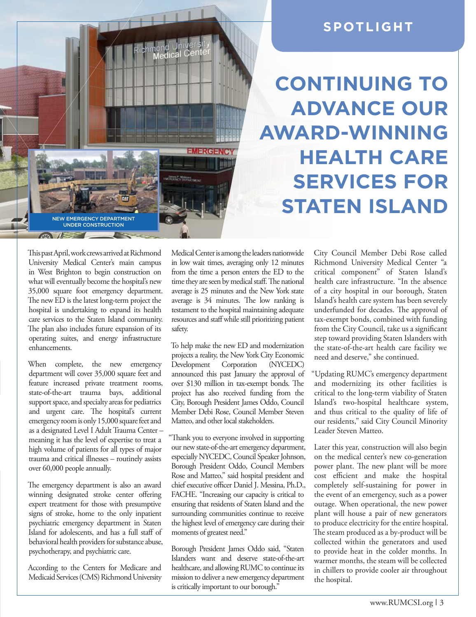

### **SPOTLIGHT**

**CONTINUING TO ADVANCE OUR AWARD-WINNING HEALTH CARE SERVICES FOR STATEN ISLAND**

This past April, work crews arrived at Richmond University Medical Center's main campus in West Brighton to begin construction on what will eventually become the hospital's new 35,000 square foot emergency department. The new ED is the latest long-term project the hospital is undertaking to expand its health care services to the Staten Island community. The plan also includes future expansion of its operating suites, and energy infrastructure enhancements.

When complete, the new emergency department will cover 35,000 square feet and feature increased private treatment rooms, state-of-the-art trauma bays, additional support space, and specialty areas for pediatrics and urgent care. The hospital's current emergency room is only 15,000 square feet and as a designated Level I Adult Trauma Center – meaning it has the level of expertise to treat a high volume of patients for all types of major trauma and critical illnesses – routinely assists over 60,000 people annually.

The emergency department is also an award winning designated stroke center offering expert treatment for those with presumptive signs of stroke, home to the only inpatient psychiatric emergency department in Staten Island for adolescents, and has a full staff of behavioral health providers for substance abuse, psychotherapy, and psychiatric care.

According to the Centers for Medicare and Medicaid Services (CMS) Richmond University Medical Center is among the leaders nationwide in low wait times, averaging only 12 minutes from the time a person enters the ED to the time they are seen by medical staff. The national average is 25 minutes and the New York state average is 34 minutes. The low ranking is testament to the hospital maintaining adequate resources and staff while still prioritizing patient safety.

To help make the new ED and modernization projects a reality, the New York City Economic Development Corporation (NYCEDC) announced this past January the approval of over \$130 million in tax-exempt bonds. The project has also received funding from the City, Borough President James Oddo, Council Member Debi Rose, Council Member Steven Matteo, and other local stakeholders.

"Thank you to everyone involved in supporting our new state-of-the-art emergency department, especially NYCEDC, Council Speaker Johnson, Borough President Oddo, Council Members Rose and Matteo," said hospital president and chief executive officer Daniel J. Messina, Ph.D., FACHE. "Increasing our capacity is critical to ensuring that residents of Staten Island and the surrounding communities continue to receive the highest level of emergency care during their moments of greatest need."

Borough President James Oddo said, "Staten Islanders want and deserve state-of-the-art healthcare, and allowing RUMC to continue its mission to deliver a new emergency department is critically important to our borough."

City Council Member Debi Rose called Richmond University Medical Center "a critical component" of Staten Island's health care infrastructure. "In the absence of a city hospital in our borough, Staten Island's health care system has been severely underfunded for decades. The approval of tax-exempt bonds, combined with funding from the City Council, take us a significant step toward providing Staten Islanders with the state-of-the-art health care facility we need and deserve," she continued.

"Updating RUMC's emergency department and modernizing its other facilities is critical to the long-term viability of Staten Island's two-hospital healthcare system, and thus critical to the quality of life of our residents," said City Council Minority Leader Steven Matteo.

Later this year, construction will also begin on the medical center's new co-generation power plant. The new plant will be more cost efficient and make the hospital completely self-sustaining for power in the event of an emergency, such as a power outage. When operational, the new power plant will house a pair of new generators to produce electricity for the entire hospital. The steam produced as a by-product will be collected within the generators and used to provide heat in the colder months. In warmer months, the steam will be collected in chillers to provide cooler air throughout the hospital.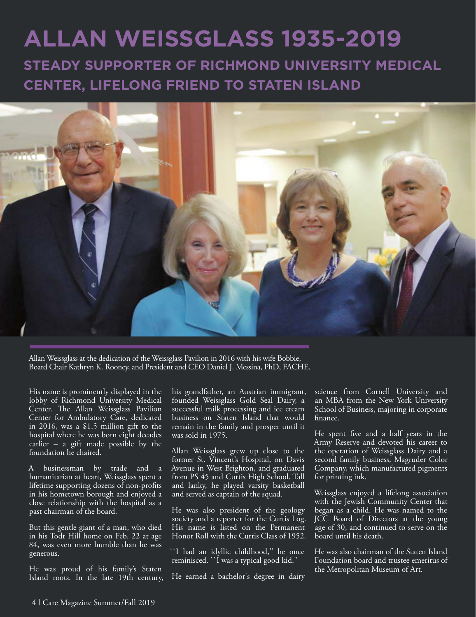## **ALLAN WEISSGLASS 1935-2019**

**STEADY SUPPORTER OF RICHMOND UNIVERSITY MEDICAL CENTER, LIFELONG FRIEND TO STATEN ISLAND**



Allan Weissglass at the dedication of the Weissglass Pavilion in 2016 with his wife Bobbie, Board Chair Kathryn K. Rooney, and President and CEO Daniel J. Messina, PhD, FACHE.

His name is prominently displayed in the lobby of Richmond University Medical Center. The Allan Weissglass Pavilion Center for Ambulatory Care, dedicated in 2016, was a \$1.5 million gift to the hospital where he was born eight decades earlier – a gift made possible by the foundation he chaired.

A businessman by trade and a humanitarian at heart, Weissglass spent a lifetime supporting dozens of non-profits in his hometown borough and enjoyed a close relationship with the hospital as a past chairman of the board.

But this gentle giant of a man, who died in his Todt Hill home on Feb. 22 at age 84, was even more humble than he was generous.

He was proud of his family's Staten Island roots. In the late 19th century, his grandfather, an Austrian immigrant, founded Weissglass Gold Seal Dairy, a successful milk processing and ice cream business on Staten Island that would remain in the family and prosper until it was sold in 1975.

Allan Weissglass grew up close to the former St. Vincent's Hospital, on Davis Avenue in West Brighton, and graduated from PS 45 and Curtis High School. Tall and lanky, he played varsity basketball and served as captain of the squad.

He was also president of the geology society and a reporter for the Curtis Log. His name is listed on the Permanent Honor Roll with the Curtis Class of 1952.

``I had an idyllic childhood,'' he once reminisced. `` I was a typical good kid.'

He earned a bachelor's degree in dairy

science from Cornell University and an MBA from the New York University School of Business, majoring in corporate finance.

He spent five and a half years in the Army Reserve and devoted his career to the operation of Weissglass Dairy and a second family business, Magruder Color Company, which manufactured pigments for printing ink.

Weissglass enjoyed a lifelong association with the Jewish Community Center that began as a child. He was named to the JCC Board of Directors at the young age of 30, and continued to serve on the board until his death.

He was also chairman of the Staten Island Foundation board and trustee emeritus of the Metropolitan Museum of Art.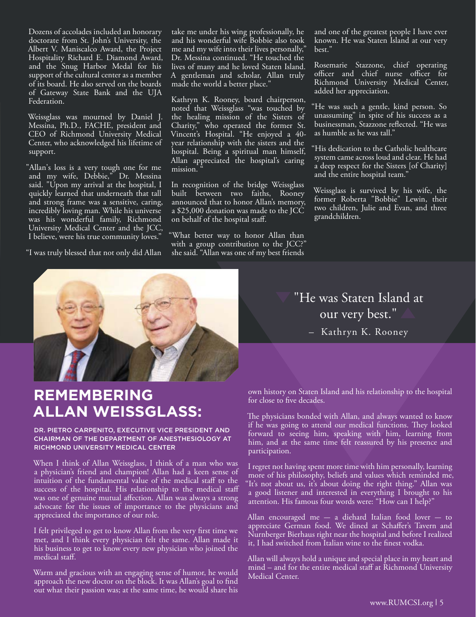Dozens of accolades included an honorary doctorate from St. John's University, the Albert V. Maniscalco Award, the Project Hospitality Richard E. Diamond Award, and the Snug Harbor Medal for his support of the cultural center as a member of its board. He also served on the boards of Gateway State Bank and the UJA Federation.

Weissglass was mourned by Daniel J. Messina, Ph.D., FACHE, president and CEO of Richmond University Medical Center, who acknowledged his lifetime of support.

"Allan's loss is a very tough one for me and my wife, Debbie," Dr. Messina said. "Upon my arrival at the hospital, I quickly learned that underneath that tall and strong frame was a sensitive, caring, incredibly loving man. While his universe was his wonderful family, Richmond University Medical Center and the JCC, I believe, were his true community loves."

"I was truly blessed that not only did Allan

take me under his wing professionally, he and his wonderful wife Bobbie also took me and my wife into their lives personally," Dr. Messina continued. "He touched the lives of many and he loved Staten Island. A gentleman and scholar, Allan truly made the world a better place."

Kathryn K. Rooney, board chairperson, noted that Weissglass "was touched by the healing mission of the Sisters of Charity," who operated the former St. Vincent's Hospital. "He enjoyed a 40 year relationship with the sisters and the hospital. Being a spiritual man himself, Allan appreciated the hospital's caring mission.

In recognition of the bridge Weissglass built between two faiths, Rooney announced that to honor Allan's memory, a \$25,000 donation was made to the JCC on behalf of the hospital staff.

"What better way to honor Allan than with a group contribution to the JCC?" she said. "Allan was one of my best friends and one of the greatest people I have ever known. He was Staten Island at our very best."

Rosemarie Stazzone, chief operating officer and chief nurse officer for Richmond University Medical Center, added her appreciation.

He was such a gentle, kind person. So unassuming" in spite of his success as a businessman, Stazzone reflected. "He was as humble as he was tall."

"His dedication to the Catholic healthcare system came across loud and clear. He had a deep respect for the Sisters [of Charity] and the entire hospital team."

Weissglass is survived by his wife, the former Roberta "Bobbie" Lewin, their two children, Julie and Evan, and three grandchildren.

# **REMEMBERING ALLAN WEISSGLASS:**

### DR. PIETRO CARPENITO, EXECUTIVE VICE PRESIDENT AND CHAIRMAN OF THE DEPARTMENT OF ANESTHESIOLOGY AT RICHMOND UNIVERSITY MEDICAL CENTER

When I think of Allan Weissglass, I think of a man who was a physician's friend and champion! Allan had a keen sense of intuition of the fundamental value of the medical staff to the success of the hospital. His relationship to the medical staff was one of genuine mutual affection. Allan was always a strong advocate for the issues of importance to the physicians and appreciated the importance of our role.

I felt privileged to get to know Allan from the very first time we met, and I think every physician felt the same. Allan made it his business to get to know every new physician who joined the medical staff.

Warm and gracious with an engaging sense of humor, he would approach the new doctor on the block. It was Allan's goal to find out what their passion was; at the same time, he would share his "He was Staten Island at our very best." – Kathryn K. Rooney

own history on Staten Island and his relationship to the hospital for close to five decades.

The physicians bonded with Allan, and always wanted to know if he was going to attend our medical functions. They looked forward to seeing him, speaking with him, learning from him, and at the same time felt reassured by his presence and participation.

I regret not having spent more time with him personally, learning more of his philosophy, beliefs and values which reminded me, "It's not about us, it's about doing the right thing." Allan was a good listener and interested in everything I brought to his attention. His famous four words were: "How can I help?"

Allan encouraged me  $-$  a diehard Italian food lover  $-$  to appreciate German food. We dined at Schaffer's Tavern and Nurnberger Bierhaus right near the hospital and before I realized it. I had switched from Italian wine to the finest vodka.

Allan will always hold a unique and special place in my heart and mind – and for the entire medical staff at Richmond University Medical Center.

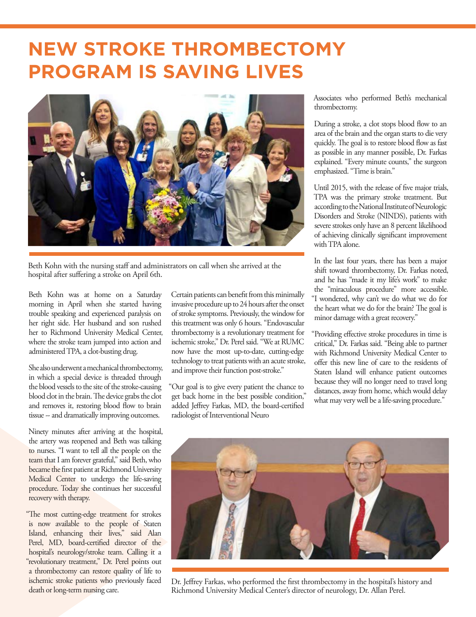## **NEW STROKE THROMBECTOMY PROGRAM IS SAVING LIVES**



Beth Kohn with the nursing staff and administrators on call when she arrived at the hospital after suffering a stroke on April 6th.

Beth Kohn was at home on a Saturday morning in April when she started having trouble speaking and experienced paralysis on her right side. Her husband and son rushed her to Richmond University Medical Center, where the stroke team jumped into action and administered TPA, a clot-busting drug.

She also underwent a mechanical thrombectomy, in which a special device is threaded through the blood vessels to the site of the stroke-causing blood clot in the brain. The device grabs the clot and removes it, restoring blood flow to brain tissue -- and dramatically improving outcomes.

Ninety minutes after arriving at the hospital, the artery was reopened and Beth was talking to nurses. "I want to tell all the people on the team that I am forever grateful," said Beth, who became the first patient at Richmond University Medical Center to undergo the life-saving procedure. Today she continues her successful recovery with therapy.

"The most cutting-edge treatment for strokes is now available to the people of Staten Island, enhancing their lives," said Alan Perel, MD, board-certified director of the hospital's neurology/stroke team. Calling it a "revolutionary treatment," Dr. Perel points out a thrombectomy can restore quality of life to ischemic stroke patients who previously faced death or long-term nursing care.

Certain patients can benefit from this minimally invasive procedure up to 24 hours after the onset of stroke symptoms. Previously, the window for this treatment was only 6 hours. "Endovascular thrombectomy is a revolutionary treatment for ischemic stroke," Dr. Perel said. "We at RUMC now have the most up-to-date, cutting-edge technology to treat patients with an acute stroke, and improve their function post-stroke."

"Our goal is to give every patient the chance to get back home in the best possible condition," added Jeffrey Farkas, MD, the board-certified radiologist of Interventional Neuro

Associates who performed Beth's mechanical thrombectomy.

During a stroke, a clot stops blood flow to an area of the brain and the organ starts to die very quickly. The goal is to restore blood flow as fast as possible in any manner possible, Dr. Farkas explained. "Every minute counts," the surgeon emphasized. "Time is brain."

Until 2015, with the release of five major trials, TPA was the primary stroke treatment. But according to the National Institute of Neurologic Disorders and Stroke (NINDS), patients with severe strokes only have an 8 percent likelihood of achieving clinically significant improvement with TPA alone.

In the last four years, there has been a major shift toward thrombectomy, Dr. Farkas noted, and he has "made it my life's work" to make the "miraculous procedure" more accessible. "I wondered, why can't we do what we do for the heart what we do for the brain? The goal is minor damage with a great recovery."

"Providing effective stroke procedures in time is critical," Dr. Farkas said. "Being able to partner with Richmond University Medical Center to offer this new line of care to the residents of Staten Island will enhance patient outcomes because they will no longer need to travel long distances, away from home, which would delay what may very well be a life-saving procedure."



Dr. Jeffrey Farkas, who performed the first thrombectomy in the hospital's history and Richmond University Medical Center's director of neurology, Dr. Allan Perel.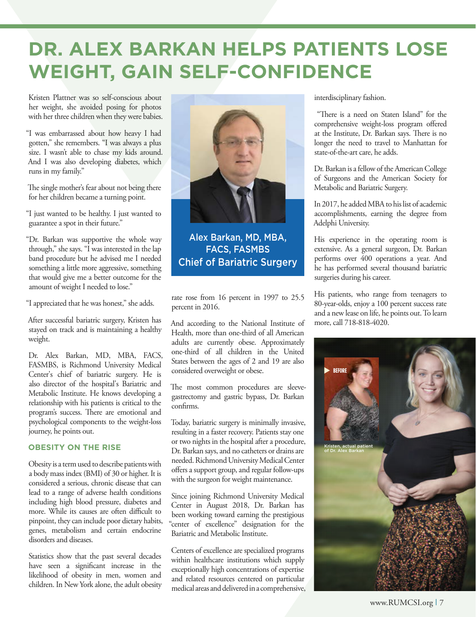## **DR. ALEX BARKAN HELPS PATIENTS LOSE WEIGHT, GAIN SELF-CONFIDENCE**

Kristen Plattner was so self-conscious about her weight, she avoided posing for photos with her three children when they were babies.

"I was embarrassed about how heavy I had gotten," she remembers. "I was always a plus size. I wasn't able to chase my kids around. And I was also developing diabetes, which runs in my family."

The single mother's fear about not being there for her children became a turning point.

"I just wanted to be healthy. I just wanted to guarantee a spot in their future."

"Dr. Barkan was supportive the whole way through," she says. "I was interested in the lap band procedure but he advised me I needed something a little more aggressive, something that would give me a better outcome for the amount of weight I needed to lose."

"I appreciated that he was honest," she adds.

After successful bariatric surgery, Kristen has stayed on track and is maintaining a healthy weight.

Dr. Alex Barkan, MD, MBA, FACS, FASMBS, is Richmond University Medical Center's chief of bariatric surgery. He is also director of the hospital's Bariatric and Metabolic Institute. He knows developing a relationship with his patients is critical to the program's success. There are emotional and psychological components to the weight-loss journey, he points out.

### **OBESITY ON THE RISE**

Obesity is a term used to describe patients with a body mass index (BMI) of 30 or higher. It is considered a serious, chronic disease that can lead to a range of adverse health conditions including high blood pressure, diabetes and more. While its causes are often difficult to pinpoint, they can include poor dietary habits, genes, metabolism and certain endocrine disorders and diseases.

Statistics show that the past several decades have seen a significant increase in the likelihood of obesity in men, women and children. In New York alone, the adult obesity



Alex Barkan, MD, MBA, FACS, FASMBS Chief of Bariatric Surgery

rate rose from 16 percent in 1997 to 25.5 percent in 2016.

And according to the National Institute of Health, more than one-third of all American adults are currently obese. Approximately one-third of all children in the United States between the ages of 2 and 19 are also considered overweight or obese.

The most common procedures are sleevegastrectomy and gastric bypass, Dr. Barkan confirms.

Today, bariatric surgery is minimally invasive, resulting in a faster recovery. Patients stay one or two nights in the hospital after a procedure, Dr. Barkan says, and no catheters or drains are needed. Richmond University Medical Center offers a support group, and regular follow-ups with the surgeon for weight maintenance.

Since joining Richmond University Medical Center in August 2018, Dr. Barkan has been working toward earning the prestigious "center of excellence" designation for the Bariatric and Metabolic Institute.

Centers of excellence are specialized programs within healthcare institutions which supply exceptionally high concentrations of expertise and related resources centered on particular medical areas and delivered in a comprehensive, interdisciplinary fashion.

 "There is a need on Staten Island" for the comprehensive weight-loss program offered at the Institute, Dr. Barkan says. There is no longer the need to travel to Manhattan for state-of-the-art care, he adds.

Dr. Barkan is a fellow of the American College of Surgeons and the American Society for Metabolic and Bariatric Surgery.

In 2017, he added MBA to his list of academic accomplishments, earning the degree from Adelphi University.

His experience in the operating room is extensive. As a general surgeon, Dr. Barkan performs over 400 operations a year. And he has performed several thousand bariatric surgeries during his career.

His patients, who range from teenagers to 80-year-olds, enjoy a 100 percent success rate and a new lease on life, he points out. To learn more, call 718-818-4020.

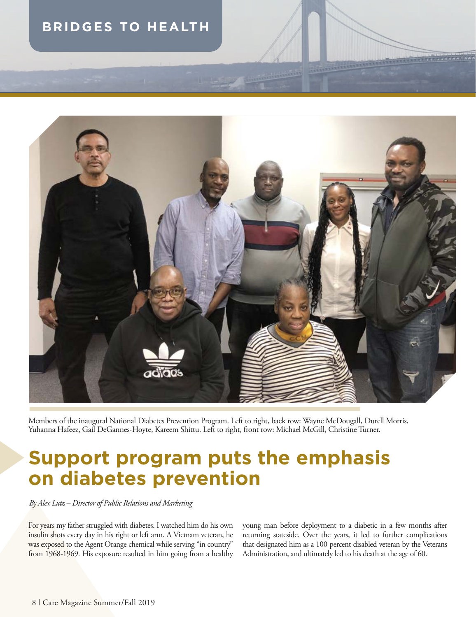### **BRIDGES TO HEALTH**



Members of the inaugural National Diabetes Prevention Program. Left to right, back row: Wayne McDougall, Durell Morris, Yuhanna Hafeez, Gail DeGannes-Hoyte, Kareem Shittu. Left to right, front row: Michael McGill, Christine Turner.

## **Support program puts the emphasis on diabetes prevention**

*By Alex Lutz – Director of Public Relations and Marketing*

For years my father struggled with diabetes. I watched him do his own insulin shots every day in his right or left arm. A Vietnam veteran, he was exposed to the Agent Orange chemical while serving "in country" from 1968-1969. His exposure resulted in him going from a healthy young man before deployment to a diabetic in a few months after returning stateside. Over the years, it led to further complications that designated him as a 100 percent disabled veteran by the Veterans Administration, and ultimately led to his death at the age of 60.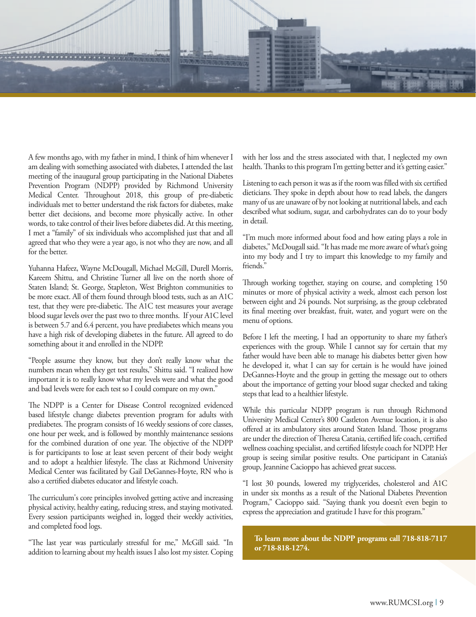

A few months ago, with my father in mind, I think of him whenever I am dealing with something associated with diabetes, I attended the last meeting of the inaugural group participating in the National Diabetes Prevention Program (NDPP) provided by Richmond University Medical Center. Throughout 2018, this group of pre-diabetic individuals met to better understand the risk factors for diabetes, make better diet decisions, and become more physically active. In other words, to take control of their lives before diabetes did. At this meeting, I met a "family" of six individuals who accomplished just that and all agreed that who they were a year ago, is not who they are now, and all for the better.

Yuhanna Hafeez, Wayne McDougall, Michael McGill, Durell Morris, Kareem Shittu, and Christine Turner all live on the north shore of Staten Island; St. George, Stapleton, West Brighton communities to be more exact. All of them found through blood tests, such as an A1C test, that they were pre-diabetic. The A1C test measures your average blood sugar levels over the past two to three months. If your A1C level is between 5.7 and 6.4 percent, you have prediabetes which means you have a high risk of developing diabetes in the future. All agreed to do something about it and enrolled in the NDPP.

"People assume they know, but they don't really know what the numbers mean when they get test results," Shittu said. "I realized how important it is to really know what my levels were and what the good and bad levels were for each test so I could compare on my own."

The NDPP is a Center for Disease Control recognized evidenced based lifestyle change diabetes prevention program for adults with prediabetes. The program consists of 16 weekly sessions of core classes, one hour per week, and is followed by monthly maintenance sessions for the combined duration of one year. The objective of the NDPP is for participants to lose at least seven percent of their body weight and to adopt a healthier lifestyle. The class at Richmond University Medical Center was facilitated by Gail DeGannes-Hoyte, RN who is also a certified diabetes educator and lifestyle coach.

The curriculum's core principles involved getting active and increasing physical activity, healthy eating, reducing stress, and staying motivated. Every session participants weighed in, logged their weekly activities, and completed food logs.

"The last year was particularly stressful for me," McGill said. "In addition to learning about my health issues I also lost my sister. Coping with her loss and the stress associated with that, I neglected my own health. Thanks to this program I'm getting better and it's getting easier."

Listening to each person it was as if the room was filled with six certified dieticians. They spoke in depth about how to read labels, the dangers many of us are unaware of by not looking at nutritional labels, and each described what sodium, sugar, and carbohydrates can do to your body in detail.

"I'm much more informed about food and how eating plays a role in diabetes," McDougall said. "It has made me more aware of what's going into my body and I try to impart this knowledge to my family and friends."

Through working together, staying on course, and completing 150 minutes or more of physical activity a week, almost each person lost between eight and 24 pounds. Not surprising, as the group celebrated its final meeting over breakfast, fruit, water, and yogurt were on the menu of options.

Before I left the meeting, I had an opportunity to share my father's experiences with the group. While I cannot say for certain that my father would have been able to manage his diabetes better given how he developed it, what I can say for certain is he would have joined DeGannes-Hoyte and the group in getting the message out to others about the importance of getting your blood sugar checked and taking steps that lead to a healthier lifestyle.

While this particular NDPP program is run through Richmond University Medical Center's 800 Castleton Avenue location, it is also offered at its ambulatory sites around Staten Island. Those programs are under the direction of Theresa Catania, certified life coach, certified wellness coaching specialist, and certified lifestyle coach for NDPP. Her group is seeing similar positive results. One participant in Catania's group, Jeannine Cacioppo has achieved great success.

"I lost 30 pounds, lowered my triglycerides, cholesterol and A1C in under six months as a result of the National Diabetes Prevention Program," Cacioppo said. "Saying thank you doesn't even begin to express the appreciation and gratitude I have for this program."

**To learn more about the NDPP programs call 718-818-7117 or 718-818-1274.**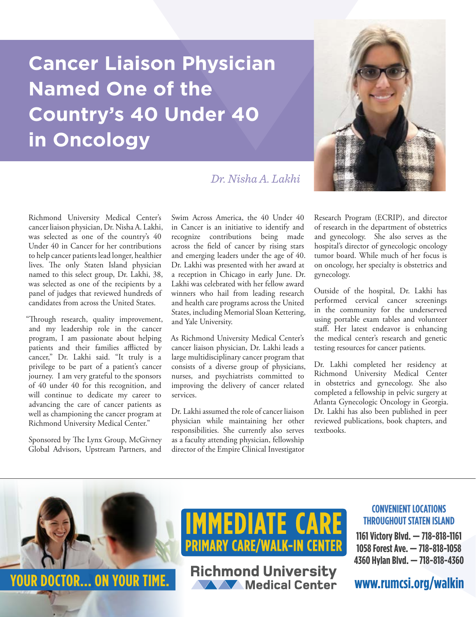## **Cancer Liaison Physician Named One of the Country's 40 Under 40 in Oncology**

### *Dr. Nisha A. Lakhi*

Richmond University Medical Center's cancer liaison physician, Dr. Nisha A. Lakhi, was selected as one of the country's 40 Under 40 in Cancer for her contributions to help cancer patients lead longer, healthier lives. The only Staten Island physician named to this select group, Dr. Lakhi, 38, was selected as one of the recipients by a panel of judges that reviewed hundreds of candidates from across the United States.

"Through research, quality improvement, and my leadership role in the cancer program, I am passionate about helping patients and their families afflicted by cancer," Dr. Lakhi said. "It truly is a privilege to be part of a patient's cancer journey. I am very grateful to the sponsors of 40 under 40 for this recognition, and will continue to dedicate my career to advancing the care of cancer patients as well as championing the cancer program at Richmond University Medical Center."

Sponsored by The Lynx Group, McGivney Global Advisors, Upstream Partners, and

Swim Across America, the 40 Under 40 in Cancer is an initiative to identify and recognize contributions being made across the field of cancer by rising stars and emerging leaders under the age of 40. Dr. Lakhi was presented with her award at a reception in Chicago in early June. Dr. Lakhi was celebrated with her fellow award winners who hail from leading research and health care programs across the United States, including Memorial Sloan Kettering, and Yale University.

As Richmond University Medical Center's cancer liaison physician, Dr. Lakhi leads a large multidisciplinary cancer program that consists of a diverse group of physicians, nurses, and psychiatrists committed to improving the delivery of cancer related services.

Dr. Lakhi assumed the role of cancer liaison physician while maintaining her other responsibilities. She currently also serves as a faculty attending physician, fellowship director of the Empire Clinical Investigator Research Program (ECRIP), and director of research in the department of obstetrics and gynecology. She also serves as the hospital's director of gynecologic oncology tumor board. While much of her focus is on oncology, her specialty is obstetrics and gynecology.

Outside of the hospital, Dr. Lakhi has performed cervical cancer screenings in the community for the underserved using portable exam tables and volunteer staff. Her latest endeavor is enhancing the medical center's research and genetic testing resources for cancer patients.

Dr. Lakhi completed her residency at Richmond University Medical Center in obstetrics and gynecology. She also completed a fellowship in pelvic surgery at Atlanta Gynecologic Oncology in Georgia. Dr. Lakhi has also been published in peer reviewed publications, book chapters, and textbooks.



**1161 Victory Blvd. — 718-818-1161 1058 Forest Ave. — 718-818-1058 4360 Hylan Blvd. — 718-818-4360**



**YOUR DOCTOR... ON YOUR TIME.** Richmond University<br>
Medical Center WWW.rumcsi.org/walkin

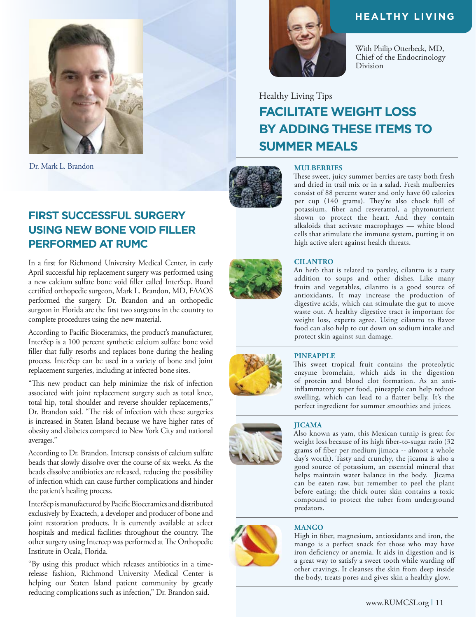

Dr. Mark L. Brandon

### **FIRST SUCCESSFUL SURGERY USING NEW BONE VOID FILLER PERFORMED AT RUMC**

In a first for Richmond University Medical Center, in early April successful hip replacement surgery was performed using a new calcium sulfate bone void filler called InterSep. Board certified orthopedic surgeon, Mark L. Brandon, MD, FAAOS performed the surgery. Dr. Brandon and an orthopedic surgeon in Florida are the first two surgeons in the country to complete procedures using the new material.

According to Pacific Bioceramics, the product's manufacturer, InterSep is a 100 percent synthetic calcium sulfate bone void filler that fully resorbs and replaces bone during the healing process. InterSep can be used in a variety of bone and joint replacement surgeries, including at infected bone sites.

"This new product can help minimize the risk of infection associated with joint replacement surgery such as total knee, total hip, total shoulder and reverse shoulder replacements," Dr. Brandon said. "The risk of infection with these surgeries is increased in Staten Island because we have higher rates of obesity and diabetes compared to New York City and national averages."

According to Dr. Brandon, Intersep consists of calcium sulfate beads that slowly dissolve over the course of six weeks. As the beads dissolve antibiotics are released, reducing the possibility of infection which can cause further complications and hinder the patient's healing process.

InterSep is manufactured by Pacific Bioceramics and distributed exclusively by Exactech, a developer and producer of bone and joint restoration products. It is currently available at select hospitals and medical facilities throughout the country. The other surgery using Intercep was performed at The Orthopedic Institute in Ocala, Florida.

"By using this product which releases antibiotics in a timerelease fashion, Richmond University Medical Center is helping our Staten Island patient community by greatly reducing complications such as infection," Dr. Brandon said.



### **HEALTHY LIVING**

With Philip Otterbeck, MD, Chief of the Endocrinology Division

## Healthy Living Tips **FACILITATE WEIGHT LOSS BY ADDING THESE ITEMS TO SUMMER MEALS**



### **MULBERRIES**

These sweet, juicy summer berries are tasty both fresh and dried in trail mix or in a salad. Fresh mulberries consist of 88 percent water and only have 60 calories per cup (140 grams). They're also chock full of potassium, fiber and resveratrol, a phytonutrient shown to protect the heart. And they contain alkaloids that activate macrophages — white blood cells that stimulate the immune system, putting it on high active alert against health threats.



### **CILANTRO**

An herb that is related to parsley, cilantro is a tasty addition to soups and other dishes. Like many fruits and vegetables, cilantro is a good source of antioxidants. It may increase the production of digestive acids, which can stimulate the gut to move waste out. A healthy digestive tract is important for weight loss, experts agree. Using cilantro to flavor food can also help to cut down on sodium intake and protect skin against sun damage.



### **PINEAPPLE**

This sweet tropical fruit contains the proteolytic enzyme bromelain, which aids in the digestion of protein and blood clot formation. As an antiinflammatory super food, pineapple can help reduce swelling, which can lead to a flatter belly. It's the perfect ingredient for summer smoothies and juices.

#### **JICAMA**

Also known as yam, this Mexican turnip is great for weight loss because of its high fiber-to-sugar ratio (32 grams of fiber per medium jimaca -- almost a whole day's worth). Tasty and crunchy, the jicama is also a good source of potassium, an essential mineral that helps maintain water balance in the body. Jicama can be eaten raw, but remember to peel the plant before eating; the thick outer skin contains a toxic compound to protect the tuber from underground predators.

### **MANGO**

High in fiber, magnesium, antioxidants and iron, the mango is a perfect snack for those who may have iron deficiency or anemia. It aids in digestion and is a great way to satisfy a sweet tooth while warding off other cravings. It cleanses the skin from deep inside the body, treats pores and gives skin a healthy glow.